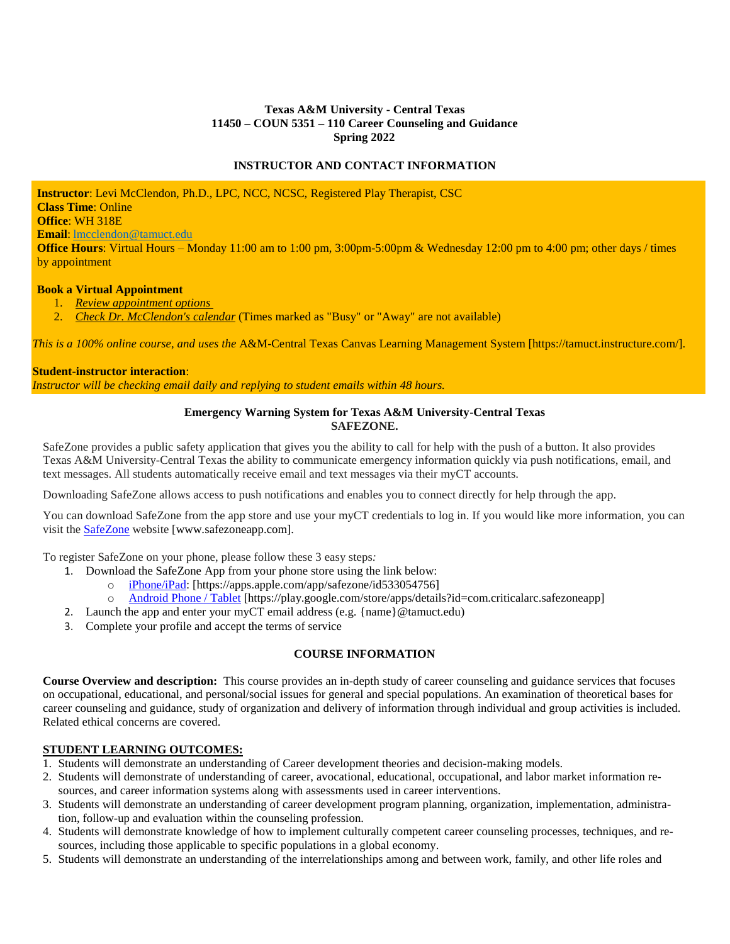# **Texas A&M University - Central Texas 11450 – COUN 5351 – 110 Career Counseling and Guidance Spring 2022**

### **INSTRUCTOR AND CONTACT INFORMATION**

**Instructor**: Levi McClendon, Ph.D., LPC, NCC, NCSC, Registered Play Therapist, CSC **Class Time**: Online **Office**: WH 318E **Email**: [lmcclendon@tamuct.edu](mailto:lmcclendon@tamuct.edu)

**Office Hours**: Virtual Hours – Monday 11:00 am to 1:00 pm, 3:00pm-5:00pm & Wednesday 12:00 pm to 4:00 pm; other days / times by appointment

### **Book a Virtual Appointment**

- 1. *Review [appointment](https://outlook.office365.com/owa/calendar/TexasAMUniversityCentralTexas3@tamuct.onmicrosoft.com/bookings/) options*
- 2. *Check Dr. [McClendon's](https://outlook.office365.com/owa/calendar/fcdd9ca39427432cbcc0cdb9655c4221@tamuct.edu/fde92b0450474c30856671ea75d256fd15740621133222441553/calendar.html) calendar* (Times marked as "Busy" or "Away" are not available)

*This is a 100% online course, and uses the* A&M-Central Texas Canvas Learning Management System [https://tamuct.instructure.com/].

### **Student-instructor interaction**:

*Instructor will be checking email daily and replying to student emails within 48 hours.*

### **Emergency Warning System for Texas A&M University-Central Texas SAFEZONE.**

SafeZone provides a public safety application that gives you the ability to call for help with the push of a button. It also provides Texas A&M University-Central Texas the ability to communicate emergency information quickly via push notifications, email, and text messages. All students automatically receive email and text messages via their myCT accounts.

Downloading SafeZone allows access to push notifications and enables you to connect directly for help through the app.

You can download SafeZone from the app store and use your myCT credentials to log in. If you would like more information, you can visit the [SafeZone](http://www.safezoneapp.com/) website [www.safezoneapp.com].

To register SafeZone on your phone, please follow these 3 easy steps*:*

- 1. Download the SafeZone App from your phone store using the link below:
	- o [iPhone/iPad:](https://apps.apple.com/app/safezone/id533054756) [https://apps.apple.com/app/safezone/id533054756]
	- o [Android Phone / Tablet](https://play.google.com/store/apps/details?id=com.criticalarc.safezoneapp) [https://play.google.com/store/apps/details?id=com.criticalarc.safezoneapp]
- 2. Launch the app and enter your myCT email address (e.g. {name}@tamuct.edu)
- 3. Complete your profile and accept the terms of service

# **COURSE INFORMATION**

**Course Overview and description:** This course provides an in-depth study of career counseling and guidance services that focuses on occupational, educational, and personal/social issues for general and special populations. An examination of theoretical bases for career counseling and guidance, study of organization and delivery of information through individual and group activities is included. Related ethical concerns are covered.

# **STUDENT LEARNING OUTCOMES:**

- 1. Students will demonstrate an understanding of Career development theories and decision-making models.
- 2. Students will demonstrate of understanding of career, avocational, educational, occupational, and labor market information resources, and career information systems along with assessments used in career interventions.
- 3. Students will demonstrate an understanding of career development program planning, organization, implementation, administration, follow-up and evaluation within the counseling profession.
- 4. Students will demonstrate knowledge of how to implement culturally competent career counseling processes, techniques, and resources, including those applicable to specific populations in a global economy.
- 5. Students will demonstrate an understanding of the interrelationships among and between work, family, and other life roles and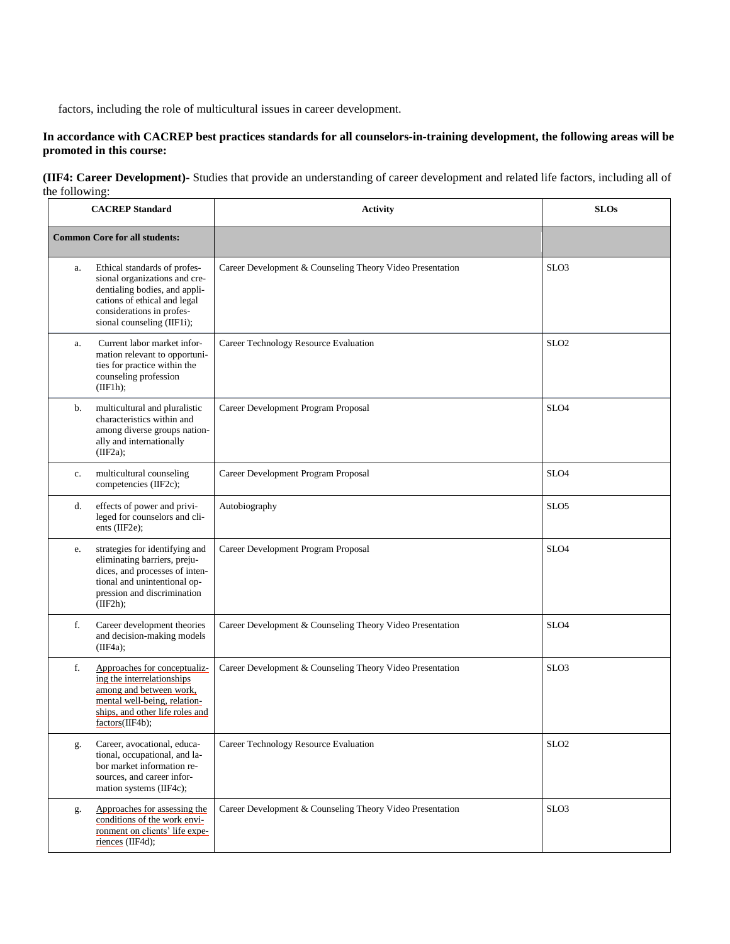factors, including the role of multicultural issues in career development.

# In accordance with CACREP best practices standards for all counselors-in-training development, the following areas will be **promoted in this course:**

### **(IIF4: Career Development)-** Studies that provide an understanding of career development and related life factors, including all of the following:

| <b>CACREP</b> Standard               |                                                                                                                                                                                           | <b>Activity</b>                                           | <b>SLOs</b>      |
|--------------------------------------|-------------------------------------------------------------------------------------------------------------------------------------------------------------------------------------------|-----------------------------------------------------------|------------------|
| <b>Common Core for all students:</b> |                                                                                                                                                                                           |                                                           |                  |
| a.                                   | Ethical standards of profes-<br>sional organizations and cre-<br>dentialing bodies, and appli-<br>cations of ethical and legal<br>considerations in profes-<br>sional counseling (IIF1i); | Career Development & Counseling Theory Video Presentation | SLO <sub>3</sub> |
| a.                                   | Current labor market infor-<br>mation relevant to opportuni-<br>ties for practice within the<br>counseling profession<br>(IF1h);                                                          | Career Technology Resource Evaluation                     | SLO <sub>2</sub> |
| b.                                   | multicultural and pluralistic<br>characteristics within and<br>among diverse groups nation-<br>ally and internationally<br>(IIF2a):                                                       | Career Development Program Proposal                       | SLO <sub>4</sub> |
| c.                                   | multicultural counseling<br>competencies (IIF2c);                                                                                                                                         | Career Development Program Proposal                       | SLO <sub>4</sub> |
| d.                                   | effects of power and privi-<br>leged for counselors and cli-<br>ents (IIF2e);                                                                                                             | Autobiography                                             | SLO <sub>5</sub> |
| e.                                   | strategies for identifying and<br>eliminating barriers, preju-<br>dices, and processes of inten-<br>tional and unintentional op-<br>pression and discrimination<br>(IIF2h);               | Career Development Program Proposal                       | SLO <sub>4</sub> |
| f.                                   | Career development theories<br>and decision-making models<br>(IIF4a);                                                                                                                     | Career Development & Counseling Theory Video Presentation | SLO <sub>4</sub> |
| f.                                   | Approaches for conceptualiz-<br>ing the interrelationships<br>among and between work,<br>mental well-being, relation-<br>ships, and other life roles and<br>factors(IIF4b);               | Career Development & Counseling Theory Video Presentation | SLO <sub>3</sub> |
| g.                                   | Career, avocational, educa-<br>tional, occupational, and la-<br>bor market information re-<br>sources, and career infor-<br>mation systems (IIF4c);                                       | Career Technology Resource Evaluation                     | SLO <sub>2</sub> |
| g.                                   | Approaches for assessing the<br>conditions of the work envi-<br>ronment on clients' life expe-<br>riences (IIF4d);                                                                        | Career Development & Counseling Theory Video Presentation | SLO <sub>3</sub> |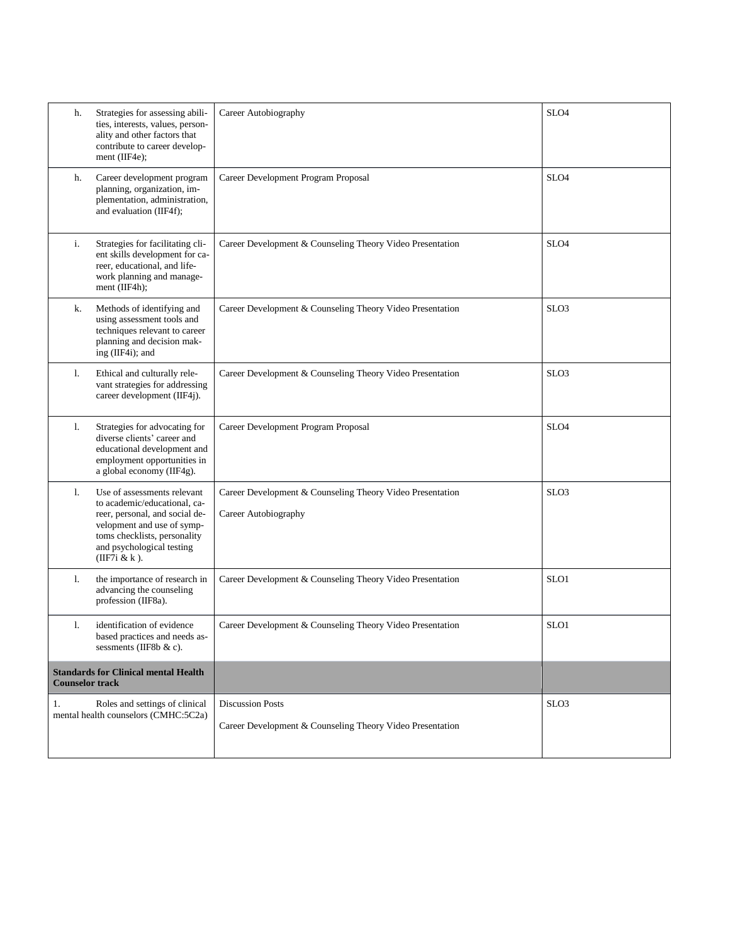| h.                                                                    | Strategies for assessing abili-<br>ties, interests, values, person-<br>ality and other factors that<br>contribute to career develop-<br>ment (IIF4e);                                                         | Career Autobiography                                                                 | SLO <sub>4</sub> |
|-----------------------------------------------------------------------|---------------------------------------------------------------------------------------------------------------------------------------------------------------------------------------------------------------|--------------------------------------------------------------------------------------|------------------|
| h.                                                                    | Career development program<br>planning, organization, im-<br>plementation, administration,<br>and evaluation (IIF4f);                                                                                         | Career Development Program Proposal                                                  | SLO <sub>4</sub> |
| i.                                                                    | Strategies for facilitating cli-<br>ent skills development for ca-<br>reer, educational, and life-<br>work planning and manage-<br>ment (IIF4h);                                                              | Career Development & Counseling Theory Video Presentation                            | SLO <sub>4</sub> |
| k.                                                                    | Methods of identifying and<br>using assessment tools and<br>techniques relevant to career<br>planning and decision mak-<br>ing (IIF4i); and                                                                   | Career Development & Counseling Theory Video Presentation                            | SLO <sub>3</sub> |
| 1.                                                                    | Ethical and culturally rele-<br>vant strategies for addressing<br>career development (IIF4j).                                                                                                                 | Career Development & Counseling Theory Video Presentation                            | SLO <sub>3</sub> |
| 1.                                                                    | Strategies for advocating for<br>diverse clients' career and<br>educational development and<br>employment opportunities in<br>a global economy (IIF4g).                                                       | Career Development Program Proposal                                                  | SLO <sub>4</sub> |
| 1.                                                                    | Use of assessments relevant<br>to academic/educational, ca-<br>reer, personal, and social de-<br>velopment and use of symp-<br>toms checklists, personality<br>and psychological testing<br>(IIF7 $i \& k$ ). | Career Development & Counseling Theory Video Presentation<br>Career Autobiography    | SLO <sub>3</sub> |
| 1.                                                                    | the importance of research in<br>advancing the counseling<br>profession (IIF8a).                                                                                                                              | Career Development & Counseling Theory Video Presentation                            | SLO1             |
| 1.                                                                    | identification of evidence<br>based practices and needs as-<br>sessments (IIF8b $&c$ ).                                                                                                                       | Career Development & Counseling Theory Video Presentation                            | SLO1             |
| <b>Standards for Clinical mental Health</b><br><b>Counselor track</b> |                                                                                                                                                                                                               |                                                                                      |                  |
| 1.                                                                    | Roles and settings of clinical<br>mental health counselors (CMHC:5C2a)                                                                                                                                        | <b>Discussion Posts</b><br>Career Development & Counseling Theory Video Presentation | SLO <sub>3</sub> |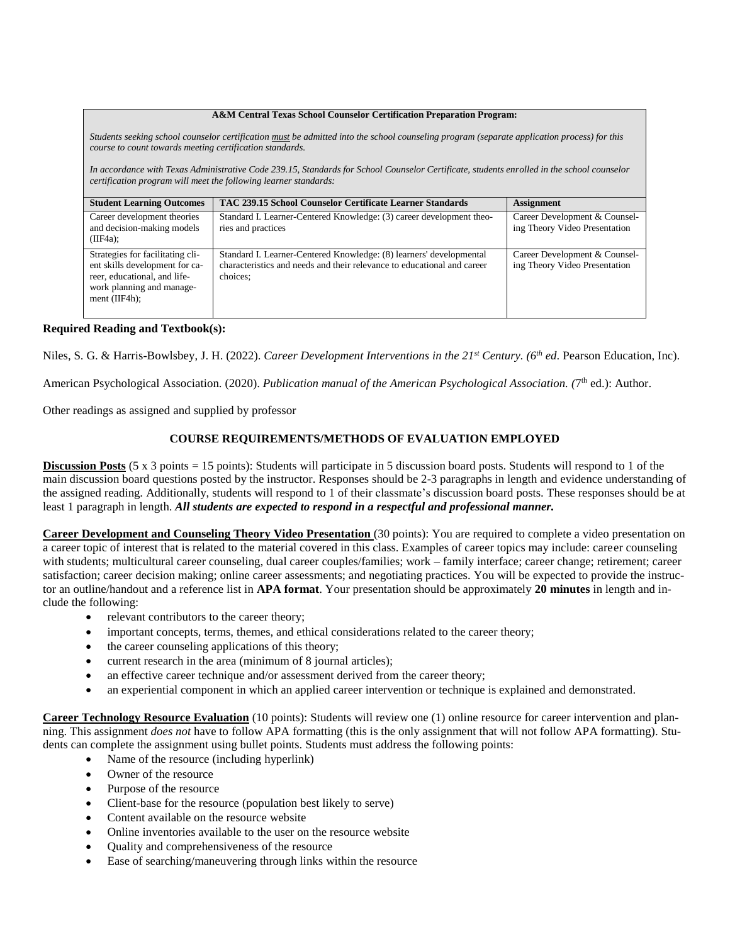#### **A&M Central Texas School Counselor Certification Preparation Program:**

*Students seeking school counselor certification must be admitted into the school counseling program (separate application process) for this course to count towards meeting certification standards.* 

*In accordance with Texas Administrative Code 239.15, Standards for School Counselor Certificate, students enrolled in the school counselor certification program will meet the following learner standards:* 

| <b>Student Learning Outcomes</b>                                                                                                                    | TAC 239.15 School Counselor Certificate Learner Standards                                                                                                  | <b>Assignment</b>                                              |
|-----------------------------------------------------------------------------------------------------------------------------------------------------|------------------------------------------------------------------------------------------------------------------------------------------------------------|----------------------------------------------------------------|
| Career development theories<br>and decision-making models<br>(IIF4a):                                                                               | Standard I. Learner-Centered Knowledge: (3) career development theo-<br>ries and practices                                                                 | Career Development & Counsel-<br>ing Theory Video Presentation |
| Strategies for facilitating cli-<br>ent skills development for ca-<br>reer, educational, and life-<br>work planning and manage-<br>ment $(IIF4h)$ : | Standard I. Learner-Centered Knowledge: (8) learners' developmental<br>characteristics and needs and their relevance to educational and career<br>choices: | Career Development & Counsel-<br>ing Theory Video Presentation |

### **Required Reading and Textbook(s):**

Niles, S. G. & Harris-Bowlsbey, J. H. (2022). *Career Development Interventions in the 21st Century. (6 th ed*. Pearson Education, Inc).

American Psychological Association. (2020). *Publication manual of the American Psychological Association. (*7 th ed.): Author.

Other readings as assigned and supplied by professor

# **COURSE REQUIREMENTS/METHODS OF EVALUATION EMPLOYED**

**Discussion Posts** (5 x 3 points = 15 points): Students will participate in 5 discussion board posts. Students will respond to 1 of the main discussion board questions posted by the instructor. Responses should be 2-3 paragraphs in length and evidence understanding of the assigned reading. Additionally, students will respond to 1 of their classmate's discussion board posts. These responses should be at least 1 paragraph in length. *All students are expected to respond in a respectful and professional manner.*

**Career Development and Counseling Theory Video Presentation** (30 points): You are required to complete a video presentation on a career topic of interest that is related to the material covered in this class. Examples of career topics may include: career counseling with students; multicultural career counseling, dual career couples/families; work – family interface; career change; retirement; career satisfaction; career decision making; online career assessments; and negotiating practices. You will be expected to provide the instructor an outline/handout and a reference list in **APA format**. Your presentation should be approximately **20 minutes** in length and include the following:

- relevant contributors to the career theory;
- important concepts, terms, themes, and ethical considerations related to the career theory;
- the career counseling applications of this theory;
- current research in the area (minimum of 8 journal articles);
- an effective career technique and/or assessment derived from the career theory;
- an experiential component in which an applied career intervention or technique is explained and demonstrated.

**Career Technology Resource Evaluation** (10 points): Students will review one (1) online resource for career intervention and planning. This assignment *does not* have to follow APA formatting (this is the only assignment that will not follow APA formatting). Students can complete the assignment using bullet points. Students must address the following points:

- Name of the resource (including hyperlink)
- Owner of the resource
- Purpose of the resource
- Client-base for the resource (population best likely to serve)
- Content available on the resource website
- Online inventories available to the user on the resource website
- Quality and comprehensiveness of the resource
- Ease of searching/maneuvering through links within the resource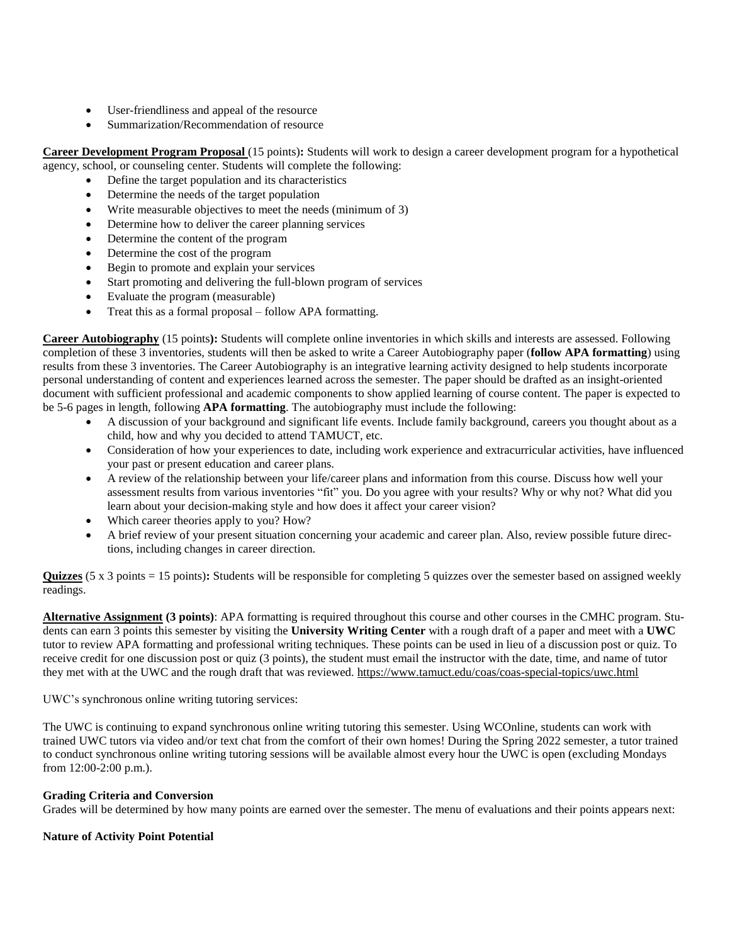- User-friendliness and appeal of the resource
- Summarization/Recommendation of resource

# **Career Development Program Proposal** (15 points)**:** Students will work to design a career development program for a hypothetical agency, school, or counseling center. Students will complete the following:

- Define the target population and its characteristics
- Determine the needs of the target population
- Write measurable objectives to meet the needs (minimum of 3)
- Determine how to deliver the career planning services
- Determine the content of the program
- Determine the cost of the program
- Begin to promote and explain your services
- Start promoting and delivering the full-blown program of services
- Evaluate the program (measurable)
- Treat this as a formal proposal follow APA formatting.

**Career Autobiography** (15 points**):** Students will complete online inventories in which skills and interests are assessed. Following completion of these 3 inventories, students will then be asked to write a Career Autobiography paper (**follow APA formatting**) using results from these 3 inventories. The Career Autobiography is an integrative learning activity designed to help students incorporate personal understanding of content and experiences learned across the semester. The paper should be drafted as an insight-oriented document with sufficient professional and academic components to show applied learning of course content. The paper is expected to be 5-6 pages in length, following **APA formatting**. The autobiography must include the following:

- A discussion of your background and significant life events. Include family background, careers you thought about as a child, how and why you decided to attend TAMUCT, etc.
- Consideration of how your experiences to date, including work experience and extracurricular activities, have influenced your past or present education and career plans.
- A review of the relationship between your life/career plans and information from this course. Discuss how well your assessment results from various inventories "fit" you. Do you agree with your results? Why or why not? What did you learn about your decision-making style and how does it affect your career vision?
- Which career theories apply to you? How?
- A brief review of your present situation concerning your academic and career plan. Also, review possible future directions, including changes in career direction.

**Quizzes** (5 x 3 points = 15 points)**:** Students will be responsible for completing 5 quizzes over the semester based on assigned weekly readings.

**Alternative Assignment (3 points)**: APA formatting is required throughout this course and other courses in the CMHC program. Students can earn 3 points this semester by visiting the **University Writing Center** with a rough draft of a paper and meet with a **UWC** tutor to review APA formatting and professional writing techniques. These points can be used in lieu of a discussion post or quiz. To receive credit for one discussion post or quiz (3 points), the student must email the instructor with the date, time, and name of tutor they met with at the UWC and the rough draft that was reviewed. <https://www.tamuct.edu/coas/coas-special-topics/uwc.html>

# UWC's synchronous online writing tutoring services:

The UWC is continuing to expand synchronous online writing tutoring this semester. Using WCOnline, students can work with trained UWC tutors via video and/or text chat from the comfort of their own homes! During the Spring 2022 semester, a tutor trained to conduct synchronous online writing tutoring sessions will be available almost every hour the UWC is open (excluding Mondays from 12:00-2:00 p.m.).

# **Grading Criteria and Conversion**

Grades will be determined by how many points are earned over the semester. The menu of evaluations and their points appears next:

# **Nature of Activity Point Potential**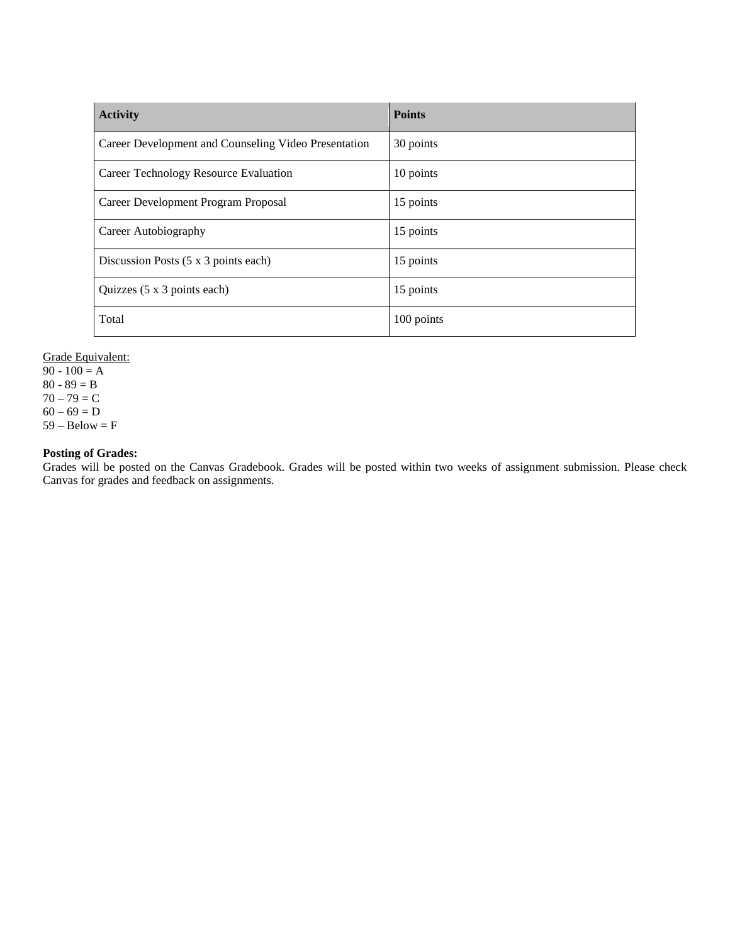| <b>Activity</b>                                      | <b>Points</b> |
|------------------------------------------------------|---------------|
| Career Development and Counseling Video Presentation | 30 points     |
| Career Technology Resource Evaluation                | 10 points     |
| Career Development Program Proposal                  | 15 points     |
| Career Autobiography                                 | 15 points     |
| Discussion Posts $(5 \times 3)$ points each)         | 15 points     |
| Quizzes (5 x 3 points each)                          | 15 points     |
| Total                                                | 100 points    |

Grade Equivalent:  $90 - 100 = A$ 

80 - 89  $=$  B  $70 - 79 = C$  $60 - 69 = D$  $59 - Below = F$ 

**Posting of Grades:**

Grades will be posted on the Canvas Gradebook. Grades will be posted within two weeks of assignment submission. Please check Canvas for grades and feedback on assignments.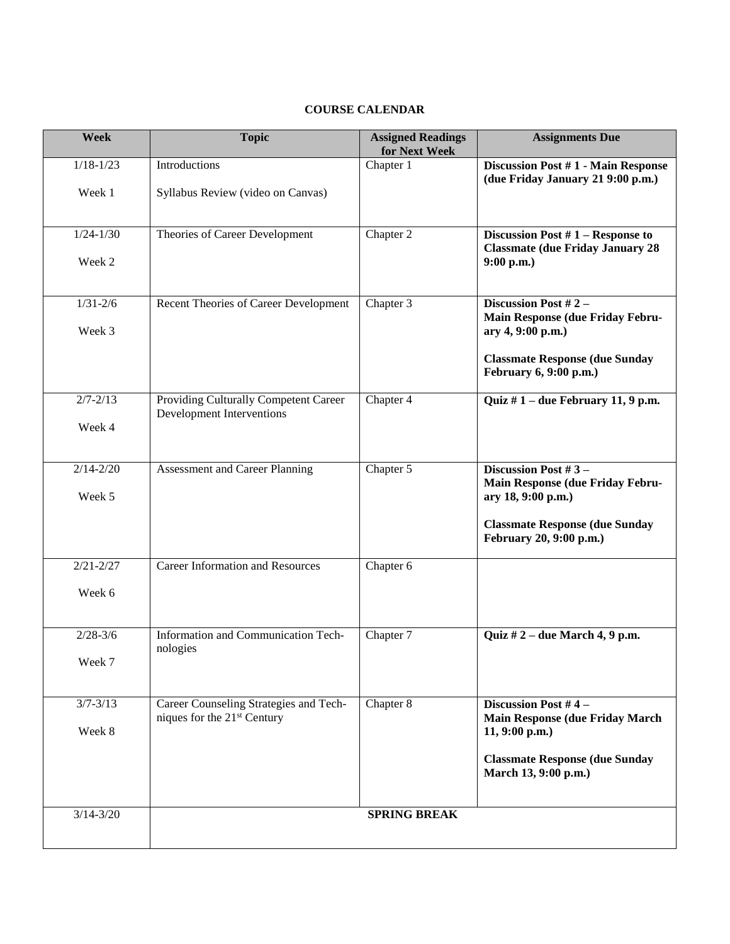# **COURSE CALENDAR**

| Week          | <b>Topic</b>                                                              | <b>Assigned Readings</b><br>for Next Week | <b>Assignments Due</b>                                                       |
|---------------|---------------------------------------------------------------------------|-------------------------------------------|------------------------------------------------------------------------------|
| $1/18 - 1/23$ | Introductions                                                             | Chapter 1                                 | Discussion Post #1 - Main Response<br>(due Friday January 21 9:00 p.m.)      |
| Week 1        | Syllabus Review (video on Canvas)                                         |                                           |                                                                              |
| $1/24 - 1/30$ | Theories of Career Development                                            | Chapter 2                                 | Discussion Post #1 - Response to<br><b>Classmate (due Friday January 28)</b> |
| Week 2        |                                                                           |                                           | 9:00 p.m.)                                                                   |
| $1/31 - 2/6$  | Recent Theories of Career Development                                     | Chapter 3                                 | Discussion Post #2 -<br>Main Response (due Friday Febru-                     |
| Week 3        |                                                                           |                                           | ary 4, 9:00 p.m.)                                                            |
|               |                                                                           |                                           | <b>Classmate Response (due Sunday</b><br>February 6, 9:00 p.m.)              |
| $2/7 - 2/13$  | Providing Culturally Competent Career<br><b>Development Interventions</b> | Chapter 4                                 | Quiz $# 1$ – due February 11, 9 p.m.                                         |
| Week 4        |                                                                           |                                           |                                                                              |
| $2/14 - 2/20$ | Assessment and Career Planning                                            | Chapter 5                                 | Discussion Post #3-<br>Main Response (due Friday Febru-                      |
| Week 5        |                                                                           |                                           | ary 18, 9:00 p.m.)                                                           |
|               |                                                                           |                                           | <b>Classmate Response (due Sunday</b><br>February 20, 9:00 p.m.)             |
| $2/21 - 2/27$ | <b>Career Information and Resources</b>                                   | Chapter 6                                 |                                                                              |
| Week 6        |                                                                           |                                           |                                                                              |
| $2/28 - 3/6$  | Information and Communication Tech-<br>nologies                           | Chapter 7                                 | Quiz $# 2$ – due March 4, 9 p.m.                                             |
| Week 7        |                                                                           |                                           |                                                                              |
| $3/7 - 3/13$  | Career Counseling Strategies and Tech-<br>niques for the $21st$ Century   | Chapter 8                                 | Discussion Post #4-<br><b>Main Response (due Friday March)</b>               |
| Week 8        |                                                                           |                                           | $11, 9:00$ p.m.)                                                             |
|               |                                                                           |                                           | <b>Classmate Response (due Sunday</b><br>March 13, 9:00 p.m.)                |
| $3/14 - 3/20$ |                                                                           | <b>SPRING BREAK</b>                       |                                                                              |
|               |                                                                           |                                           |                                                                              |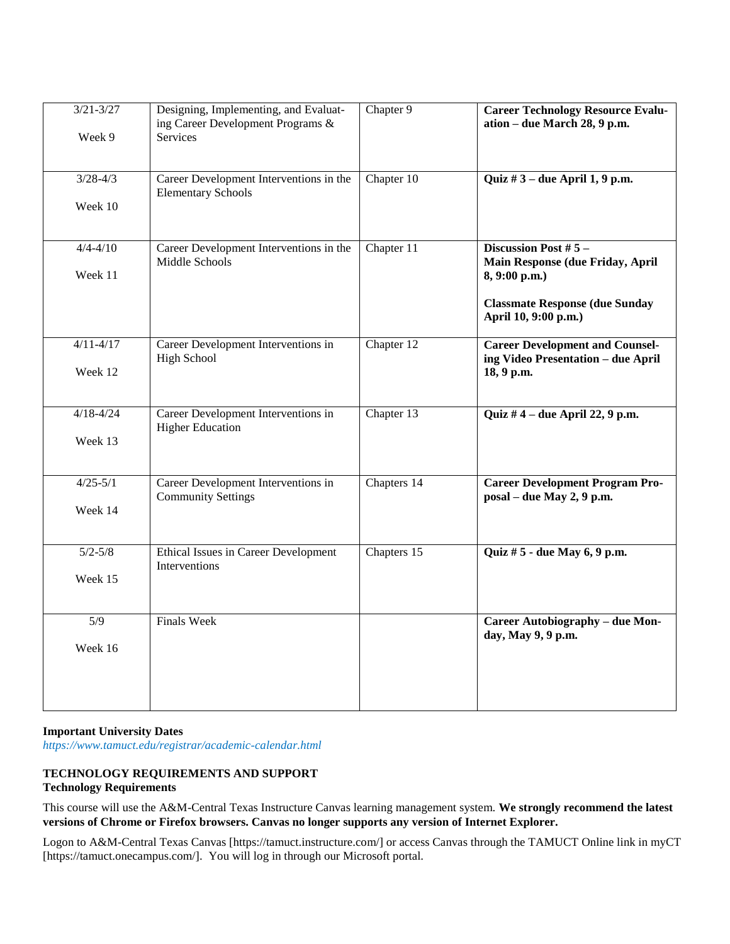| $3/21 - 3/27$<br>Week 9  | Designing, Implementing, and Evaluat-<br>ing Career Development Programs &<br>Services | Chapter 9   | <b>Career Technology Resource Evalu-</b><br>ation - due March 28, 9 p.m.                                                                   |
|--------------------------|----------------------------------------------------------------------------------------|-------------|--------------------------------------------------------------------------------------------------------------------------------------------|
| $3/28 - 4/3$<br>Week 10  | Career Development Interventions in the<br><b>Elementary Schools</b>                   | Chapter 10  | Quiz $#3$ – due April 1, 9 p.m.                                                                                                            |
| $4/4 - 4/10$<br>Week 11  | Career Development Interventions in the<br>Middle Schools                              | Chapter 11  | Discussion Post #5 -<br>Main Response (due Friday, April<br>8, 9:00 p.m.)<br><b>Classmate Response (due Sunday</b><br>April 10, 9:00 p.m.) |
| $4/11 - 4/17$<br>Week 12 | Career Development Interventions in<br><b>High School</b>                              | Chapter 12  | <b>Career Development and Counsel-</b><br>ing Video Presentation - due April<br>18, 9 p.m.                                                 |
| $4/18 - 4/24$<br>Week 13 | Career Development Interventions in<br><b>Higher Education</b>                         | Chapter 13  | Quiz #4 – due April 22, 9 p.m.                                                                                                             |
| $4/25 - 5/1$<br>Week 14  | Career Development Interventions in<br><b>Community Settings</b>                       | Chapters 14 | <b>Career Development Program Pro-</b><br>posal - due May 2, 9 p.m.                                                                        |
| $5/2 - 5/8$<br>Week 15   | Ethical Issues in Career Development<br>Interventions                                  | Chapters 15 | Quiz # 5 - due May 6, 9 p.m.                                                                                                               |
| 5/9<br>Week 16           | Finals Week                                                                            |             | Career Autobiography - due Mon-<br>day, May 9, 9 p.m.                                                                                      |

### **Important University Dates**

*https://www.tamuct.edu/registrar/academic-calendar.html*

# **TECHNOLOGY REQUIREMENTS AND SUPPORT Technology Requirements**

This course will use the A&M-Central Texas Instructure Canvas learning management system. **We strongly recommend the latest versions of Chrome or Firefox browsers. Canvas no longer supports any version of Internet Explorer.**

Logon to A&M-Central Texas Canvas [https://tamuct.instructure.com/] or access Canvas through the TAMUCT Online link in myCT [https://tamuct.onecampus.com/]. You will log in through our Microsoft portal.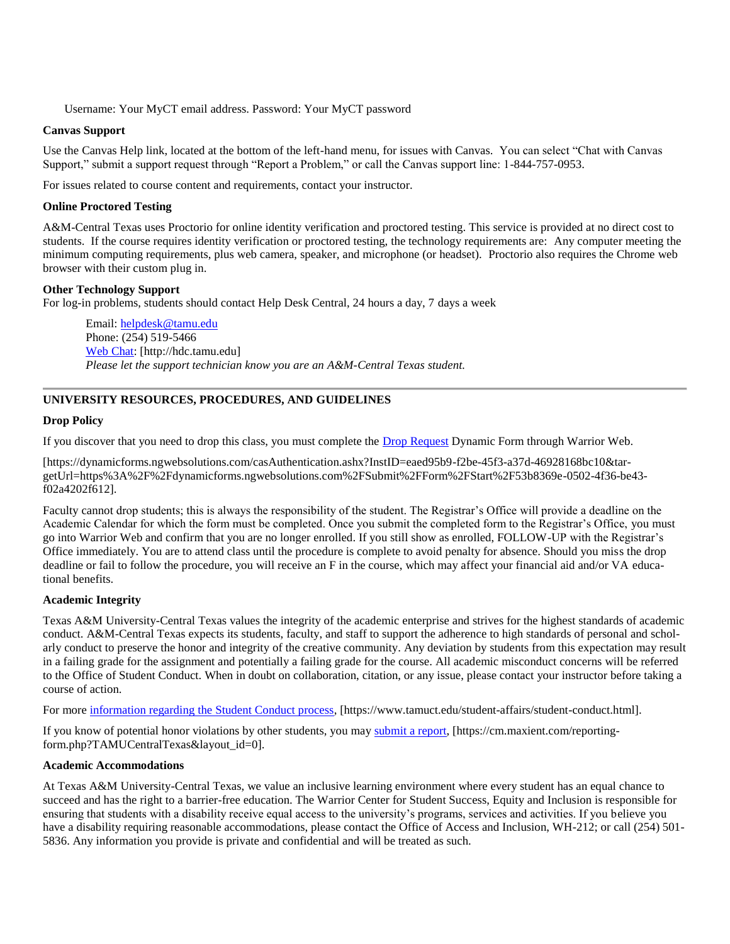Username: Your MyCT email address. Password: Your MyCT password

# **Canvas Support**

Use the Canvas Help link, located at the bottom of the left-hand menu, for issues with Canvas. You can select "Chat with Canvas Support," submit a support request through "Report a Problem," or call the Canvas support line: 1-844-757-0953.

For issues related to course content and requirements, contact your instructor.

# **Online Proctored Testing**

A&M-Central Texas uses Proctorio for online identity verification and proctored testing. This service is provided at no direct cost to students. If the course requires identity verification or proctored testing, the technology requirements are: Any computer meeting the minimum computing requirements, plus web camera, speaker, and microphone (or headset). Proctorio also requires the Chrome web browser with their custom plug in.

# **Other Technology Support**

For log-in problems, students should contact Help Desk Central, 24 hours a day, 7 days a week

Email: [helpdesk@tamu.edu](mailto:helpdesk@tamu.edu) Phone: (254) 519-5466 [Web Chat:](http://hdc.tamu.edu/) [http://hdc.tamu.edu] *Please let the support technician know you are an A&M-Central Texas student.*

# **UNIVERSITY RESOURCES, PROCEDURES, AND GUIDELINES**

### **Drop Policy**

If you discover that you need to drop this class, you must complete the [Drop Request](https://dynamicforms.ngwebsolutions.com/casAuthentication.ashx?InstID=eaed95b9-f2be-45f3-a37d-46928168bc10&targetUrl=https%3A%2F%2Fdynamicforms.ngwebsolutions.com%2FSubmit%2FForm%2FStart%2F53b8369e-0502-4f36-be43-f02a4202f612) Dynamic Form through Warrior Web.

[https://dynamicforms.ngwebsolutions.com/casAuthentication.ashx?InstID=eaed95b9-f2be-45f3-a37d-46928168bc10&targetUrl=https%3A%2F%2Fdynamicforms.ngwebsolutions.com%2FSubmit%2FForm%2FStart%2F53b8369e-0502-4f36-be43 f02a4202f612].

Faculty cannot drop students; this is always the responsibility of the student. The Registrar's Office will provide a deadline on the Academic Calendar for which the form must be completed. Once you submit the completed form to the Registrar's Office, you must go into Warrior Web and confirm that you are no longer enrolled. If you still show as enrolled, FOLLOW-UP with the Registrar's Office immediately. You are to attend class until the procedure is complete to avoid penalty for absence. Should you miss the drop deadline or fail to follow the procedure, you will receive an F in the course, which may affect your financial aid and/or VA educational benefits.

# **Academic Integrity**

Texas A&M University-Central Texas values the integrity of the academic enterprise and strives for the highest standards of academic conduct. A&M-Central Texas expects its students, faculty, and staff to support the adherence to high standards of personal and scholarly conduct to preserve the honor and integrity of the creative community. Any deviation by students from this expectation may result in a failing grade for the assignment and potentially a failing grade for the course. All academic misconduct concerns will be referred to the Office of Student Conduct. When in doubt on collaboration, citation, or any issue, please contact your instructor before taking a course of action.

For more [information](https://nam04.safelinks.protection.outlook.com/?url=https%3A%2F%2Fwww.tamuct.edu%2Fstudent-affairs%2Fstudent-conduct.html&data=04%7C01%7Clisa.bunkowski%40tamuct.edu%7Ccfb6e486f24745f53e1a08d910055cb2%7C9eed4e3000f744849ff193ad8005acec%7C0%7C0%7C637558437485252160%7CUnknown%7CTWFpbGZsb3d8eyJWIjoiMC4wLjAwMDAiLCJQIjoiV2luMzIiLCJBTiI6Ik1haWwiLCJXVCI6Mn0%3D%7C1000&sdata=yjftDEVHvLX%2FhM%2FcFU0B99krV1RgEWR%2BJ%2BhvtoR6TYk%3D&reserved=0) regarding the Student Conduct process, [https://www.tamuct.edu/student-affairs/student-conduct.html].

If you know of potential honor violations by other students, you may [submit](https://nam04.safelinks.protection.outlook.com/?url=https%3A%2F%2Fcm.maxient.com%2Freportingform.php%3FTAMUCentralTexas%26layout_id%3D0&data=04%7C01%7Clisa.bunkowski%40tamuct.edu%7Ccfb6e486f24745f53e1a08d910055cb2%7C9eed4e3000f744849ff193ad8005acec%7C0%7C0%7C637558437485262157%7CUnknown%7CTWFpbGZsb3d8eyJWIjoiMC4wLjAwMDAiLCJQIjoiV2luMzIiLCJBTiI6Ik1haWwiLCJXVCI6Mn0%3D%7C1000&sdata=CXGkOa6uPDPX1IMZ87z3aZDq2n91xfHKu4MMS43Ejjk%3D&reserved=0) a report, [https://cm.maxient.com/reportingform.php?TAMUCentralTexas&layout\_id=0].

### **Academic Accommodations**

At Texas A&M University-Central Texas, we value an inclusive learning environment where every student has an equal chance to succeed and has the right to a barrier-free education. The Warrior Center for Student Success, Equity and Inclusion is responsible for ensuring that students with a disability receive equal access to the university's programs, services and activities. If you believe you have a disability requiring reasonable accommodations, please contact the Office of Access and Inclusion, WH-212; or call (254) 501-5836. Any information you provide is private and confidential and will be treated as such.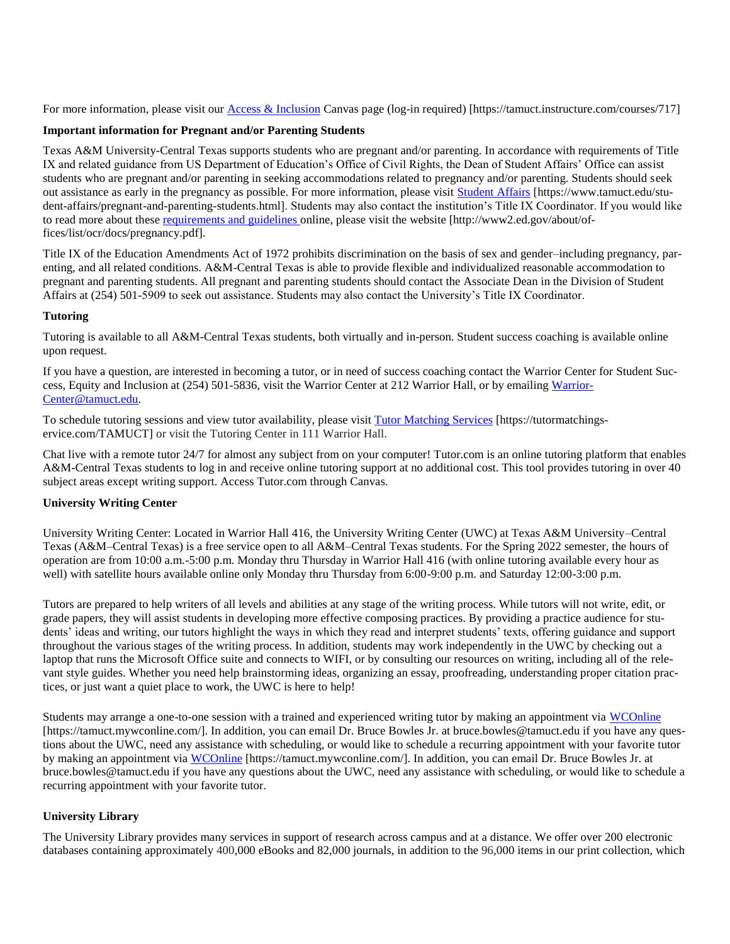For more information, please visit our [Access & Inclusion](https://tamuct.instructure.com/courses/717) Canvas page (log-in required) [https://tamuct.instructure.com/courses/717]

### **Important information for Pregnant and/or Parenting Students**

Texas A&M University-Central Texas supports students who are pregnant and/or parenting. In accordance with requirements of Title IX and related guidance from US Department of Education's Office of Civil Rights, the Dean of Student Affairs' Office can assist students who are pregnant and/or parenting in seeking accommodations related to pregnancy and/or parenting. Students should seek out assistance as early in the pregnancy as possible. For more information, please visit [Student Affairs](https://www.tamuct.edu/student-affairs/pregnant-and-parenting-students.html) [https://www.tamuct.edu/student-affairs/pregnant-and-parenting-students.html]. Students may also contact the institution's Title IX Coordinator. If you would like to read more about these [requirements and guidelines](http://www2.ed.gov/about/offices/list/ocr/docs/pregnancy.pdf) online, please visit the website [http://www2.ed.gov/about/offices/list/ocr/docs/pregnancy.pdf].

Title IX of the Education Amendments Act of 1972 prohibits discrimination on the basis of sex and gender–including pregnancy, parenting, and all related conditions. A&M-Central Texas is able to provide flexible and individualized reasonable accommodation to pregnant and parenting students. All pregnant and parenting students should contact the Associate Dean in the Division of Student Affairs at (254) 501-5909 to seek out assistance. Students may also contact the University's Title IX Coordinator.

### **Tutoring**

Tutoring is available to all A&M-Central Texas students, both virtually and in-person. Student success coaching is available online upon request.

If you have a question, are interested in becoming a tutor, or in need of success coaching contact the Warrior Center for Student Success, Equity and Inclusion at (254) 501-5836, visit the Warrior Center at 212 Warrior Hall, or by emailing [Warrior-](mailto:WarriorCenter@tamuct.edu)[Center@tamuct.edu.](mailto:WarriorCenter@tamuct.edu)

To schedule tutoring sessions and view tutor availability, please visit Tutor [Matching](https://nam04.safelinks.protection.outlook.com/?url=http%3A%2F%2Fwww.tutormatchingservices.com%2FTAMUCT&data=04%7C01%7Clisa.bunkowski%40tamuct.edu%7C886784139069461670c308d9aa01f55e%7C9eed4e3000f744849ff193ad8005acec%7C0%7C0%7C637727747643427346%7CUnknown%7CTWFpbGZsb3d8eyJWIjoiMC4wLjAwMDAiLCJQIjoiV2luMzIiLCJBTiI6Ik1haWwiLCJXVCI6Mn0%3D%7C3000&sdata=D%2F8HN2bUT1lLPfs5qSqKYlwh8a7pZVy7isM2gppluQE%3D&reserved=0) Services [https://tutormatchingservice.com/TAMUCT] or visit the Tutoring Center in 111 Warrior Hall.

Chat live with a remote tutor 24/7 for almost any subject from on your computer! Tutor.com is an online tutoring platform that enables A&M-Central Texas students to log in and receive online tutoring support at no additional cost. This tool provides tutoring in over 40 subject areas except writing support. Access Tutor.com through Canvas.

### **University Writing Center**

University Writing Center: Located in Warrior Hall 416, the University Writing Center (UWC) at Texas A&M University–Central Texas (A&M–Central Texas) is a free service open to all A&M–Central Texas students. For the Spring 2022 semester, the hours of operation are from 10:00 a.m.-5:00 p.m. Monday thru Thursday in Warrior Hall 416 (with online tutoring available every hour as well) with satellite hours available online only Monday thru Thursday from 6:00-9:00 p.m. and Saturday 12:00-3:00 p.m.

Tutors are prepared to help writers of all levels and abilities at any stage of the writing process. While tutors will not write, edit, or grade papers, they will assist students in developing more effective composing practices. By providing a practice audience for students' ideas and writing, our tutors highlight the ways in which they read and interpret students' texts, offering guidance and support throughout the various stages of the writing process. In addition, students may work independently in the UWC by checking out a laptop that runs the Microsoft Office suite and connects to WIFI, or by consulting our resources on writing, including all of the relevant style guides. Whether you need help brainstorming ideas, organizing an essay, proofreading, understanding proper citation practices, or just want a quiet place to work, the UWC is here to help!

Students may arrange a one-to-one session with a trained and experienced writing tutor by making an appointment via [WCOnline](https://tamuct.mywconline.com/)  [https://tamuct.mywconline.com/]. In addition, you can email Dr. Bruce Bowles Jr. at bruce.bowles@tamuct.edu if you have any questions about the UWC, need any assistance with scheduling, or would like to schedule a recurring appointment with your favorite tutor by making an appointment via [WCOnline](https://tamuct.mywconline.com/) [https://tamuct.mywconline.com/]. In addition, you can email Dr. Bruce Bowles Jr. at bruce.bowles@tamuct.edu if you have any questions about the UWC, need any assistance with scheduling, or would like to schedule a recurring appointment with your favorite tutor.

# **University Library**

The University Library provides many services in support of research across campus and at a distance. We offer over 200 electronic databases containing approximately 400,000 eBooks and 82,000 journals, in addition to the 96,000 items in our print collection, which